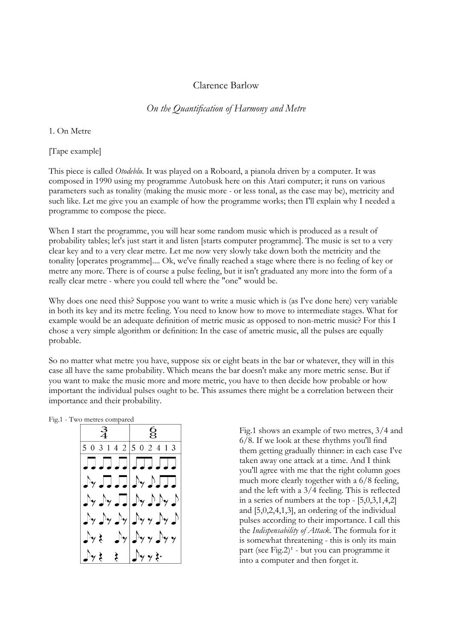# Clarence Barlow

*On the Quantification of Harmony and Metre* 

1. On Metre

[Tape example]

This piece is called *Otodeblu*. It was played on a Roboard, a pianola driven by a computer. It was composed in 1990 using my programme Autobusk here on this Atari computer; it runs on various parameters such as tonality (making the music more - or less tonal, as the case may be), metricity and such like. Let me give you an example of how the programme works; then I'll explain why I needed a programme to compose the piece.

When I start the programme, you will hear some random music which is produced as a result of probability tables; let's just start it and listen [starts computer programme]. The music is set to a very clear key and to a very clear metre. Let me now very slowly take down both the metricity and the tonality [operates programme].... Ok, we've finally reached a stage where there is no feeling of key or metre any more. There is of course a pulse feeling, but it isn't graduated any more into the form of a really clear metre - where you could tell where the "one" would be.

Why does one need this? Suppose you want to write a music which is (as I've done here) very variable in both its key and its metre feeling. You need to know how to move to intermediate stages. What for example would be an adequate definition of metric music as opposed to non-metric music? For this I chose a very simple algorithm or definition: In the case of ametric music, all the pulses are equally probable.

So no matter what metre you have, suppose six or eight beats in the bar or whatever, they will in this case all have the same probability. Which means the bar doesn't make any more metric sense. But if you want to make the music more and more metric, you have to then decide how probable or how important the individual pulses ought to be. This assumes there might be a correlation between their importance and their probability.

Fig.1 - Two metres compared

|                                                                                                                                                                                                                                                                       | $\mathbf{g}$                                    |
|-----------------------------------------------------------------------------------------------------------------------------------------------------------------------------------------------------------------------------------------------------------------------|-------------------------------------------------|
| 503142 502413                                                                                                                                                                                                                                                         |                                                 |
| <b>JJJJJJJJJJ</b>                                                                                                                                                                                                                                                     |                                                 |
| $\begin{array}{c} \begin{array}{c} \mathcal{N} \end{array} & \mathcal{N} \end{array} \begin{array}{c} \mathcal{N} \end{array} \begin{array}{c} \mathcal{N} \end{array} \begin{array}{c} \mathcal{N} \end{array} \begin{array}{c} \mathcal{N} \end{array} \end{array}$ |                                                 |
|                                                                                                                                                                                                                                                                       | $\Gamma$                                        |
|                                                                                                                                                                                                                                                                       | $\int_Y \int_Y \int_Y \int_Y  \int_Y y  \int_Y$ |
|                                                                                                                                                                                                                                                                       | $\int y \xi = \int y   \int y y   \int y y$     |
| $\frac{1}{2}y \xi \xi$   $\frac{1}{2}y y \xi$ .                                                                                                                                                                                                                       |                                                 |

Fig.1 shows an example of two metres, 3/4 and 6/8. If we look at these rhythms you'll find them getting gradually thinner: in each case I've taken away one attack at a time. And I think you'll agree with me that the right column goes much more clearly together with a 6/8 feeling, and the left with a 3/4 feeling. This is reflected in a series of numbers at the top - [5,0,3,1,4,2] and [5,0,2,4,1,3], an ordering of the individual pulses according to their importance. I call this the *Indispensability of Attack*. The formula for it is somewhat threatening - this is only its main part (see Fig.2) $<sup>1</sup>$  - but you can programme it</sup> into a computer and then forget it.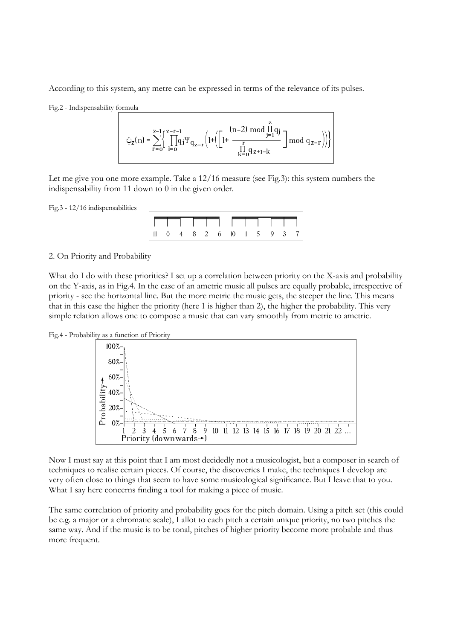According to this system, any metre can be expressed in terms of the relevance of its pulses.

Fig.2 - Indispensability formula

$$
\psi_z(n) = \sum_{r=0}^{z-1} \Biggl\{ \prod_{i=0}^{z-r-1} \!\!\! q_i \Psi_{q_{z-r}} \biggl(1 + \biggl( \prod_{i}^{(n-2) \bmod \prod\limits_{j=1}^{z} q_j}_{k=0} q_{z+1-k} \biggr) \biggr) \!\!\!\Biggr\}
$$

Let me give you one more example. Take a 12/16 measure (see Fig.3): this system numbers the indispensability from 11 down to 0 in the given order.

Fig.3 - 12/16 indispensabilities



2. On Priority and Probability

What do I do with these priorities? I set up a correlation between priority on the X-axis and probability on the Y-axis, as in Fig.4. In the case of an ametric music all pulses are equally probable, irrespective of priority - see the horizontal line. But the more metric the music gets, the steeper the line. This means that in this case the higher the priority (here 1 is higher than 2), the higher the probability. This very simple relation allows one to compose a music that can vary smoothly from metric to ametric.





Now I must say at this point that I am most decidedly not a musicologist, but a composer in search of techniques to realise certain pieces. Of course, the discoveries I make, the techniques I develop are very often close to things that seem to have some musicological significance. But I leave that to you. What I say here concerns finding a tool for making a piece of music.

The same correlation of priority and probability goes for the pitch domain. Using a pitch set (this could be e.g. a major or a chromatic scale), I allot to each pitch a certain unique priority, no two pitches the same way. And if the music is to be tonal, pitches of higher priority become more probable and thus more frequent.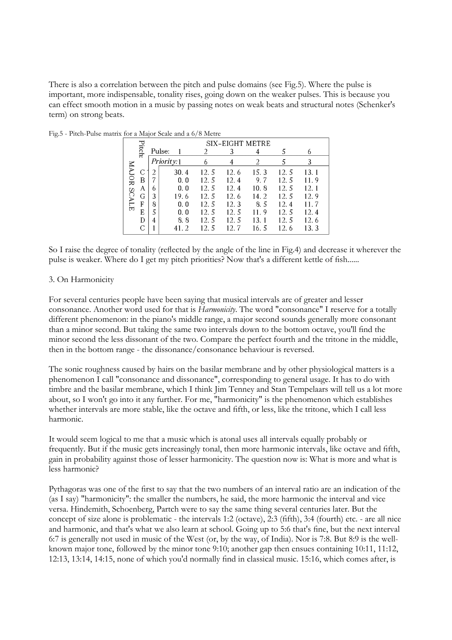There is also a correlation between the pitch and pulse domains (see Fig.5). Where the pulse is important, more indispensable, tonality rises, going down on the weaker pulses. This is because you can effect smooth motion in a music by passing notes on weak beats and structural notes (Schenker's term) on strong beats.

|             |               |   |            |      |       | SIX-EIGHT METRE |       |       |      |  |
|-------------|---------------|---|------------|------|-------|-----------------|-------|-------|------|--|
|             | <b>Pitch:</b> |   | Pulse:     |      |       |                 |       |       | 6    |  |
|             |               |   | Priority:1 |      | 6     |                 |       |       | 3    |  |
| MAJOR SCALE | C             |   |            | 30.4 | 12.5  | 12.6            | 15.3  | 12.5  | 13.1 |  |
|             | B             |   |            | 0.0  | 12.5  | 12.4            | 9.7   | 12.5  | 11.9 |  |
|             | Α             | 6 |            | 0.0  | 12.5  | 12.4            | 10.8  | 12.5  | 12.1 |  |
|             | G             | 3 |            | 19.6 | 12.5  | 12.6            | 14.2  | 12.5  | 12.9 |  |
|             | F             | 8 |            | 0.0  | 12.5  | 12.3            | 8.5   | 12.4  | 11 7 |  |
|             | E             | 5 |            | 0.0  | 12.5  | 12.5            | 11.9  | 12.5  | 12.4 |  |
|             | D             | 4 |            | 8.8  | 12. 5 | 12. 5           | 13.   | 12.5  | 12.6 |  |
|             |               |   |            | 41.2 | 12.5  | 12. 7           | 16. 5 | 12. 6 | 13.3 |  |

Fig.5 - Pitch-Pulse matrix for a Major Scale and a 6/8 Metre

So I raise the degree of tonality (reflected by the angle of the line in Fig.4) and decrease it wherever the pulse is weaker. Where do I get my pitch priorities? Now that's a different kettle of fish......

## 3. On Harmonicity

For several centuries people have been saying that musical intervals are of greater and lesser consonance. Another word used for that is *Harmonicity*. The word "consonance" I reserve for a totally different phenomenon: in the piano's middle range, a major second sounds generally more consonant than a minor second. But taking the same two intervals down to the bottom octave, you'll find the minor second the less dissonant of the two. Compare the perfect fourth and the tritone in the middle, then in the bottom range - the dissonance/consonance behaviour is reversed.

The sonic roughness caused by hairs on the basilar membrane and by other physiological matters is a phenomenon I call "consonance and dissonance", corresponding to general usage. It has to do with timbre and the basilar membrane, which I think Jim Tenney and Stan Tempelaars will tell us a lot more about, so I won't go into it any further. For me, "harmonicity" is the phenomenon which establishes whether intervals are more stable, like the octave and fifth, or less, like the tritone, which I call less harmonic.

It would seem logical to me that a music which is atonal uses all intervals equally probably or frequently. But if the music gets increasingly tonal, then more harmonic intervals, like octave and fifth, gain in probability against those of lesser harmonicity. The question now is: What is more and what is less harmonic?

Pythagoras was one of the first to say that the two numbers of an interval ratio are an indication of the (as I say) "harmonicity": the smaller the numbers, he said, the more harmonic the interval and vice versa. Hindemith, Schoenberg, Partch were to say the same thing several centuries later. But the concept of size alone is problematic - the intervals 1:2 (octave), 2:3 (fifth), 3:4 (fourth) etc. - are all nice and harmonic, and that's what we also learn at school. Going up to 5:6 that's fine, but the next interval 6:7 is generally not used in music of the West (or, by the way, of India). Nor is 7:8. But 8:9 is the wellknown major tone, followed by the minor tone 9:10; another gap then ensues containing 10:11, 11:12, 12:13, 13:14, 14:15, none of which you'd normally find in classical music. 15:16, which comes after, is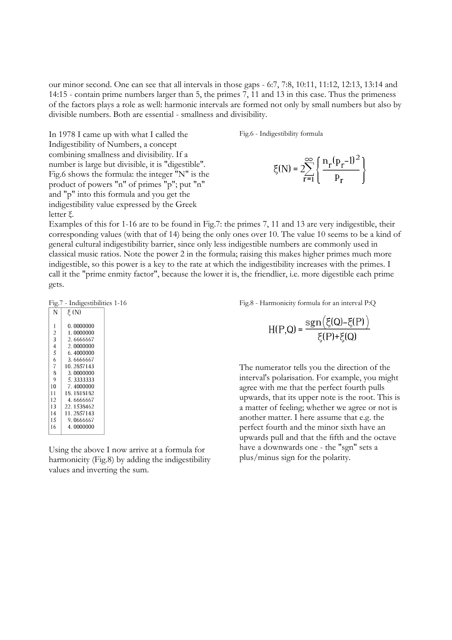our minor second. One can see that all intervals in those gaps - 6:7, 7:8, 10:11, 11:12, 12:13, 13:14 and 14:15 - contain prime numbers larger than 5, the primes 7, 11 and 13 in this case. Thus the primeness of the factors plays a role as well: harmonic intervals are formed not only by small numbers but also by divisible numbers. Both are essential - smallness and divisibility.

Fig.6 - Indigestibility formula

$$
\xi(N) = 2 \sum_{r=1}^{\infty} \left\{ \frac{n_r (p_r - 1)^2}{p_r} \right\}
$$

Examples of this for 1-16 are to be found in Fig.7: the primes 7, 11 and 13 are very indigestible, their corresponding values (with that of 14) being the only ones over 10. The value 10 seems to be a kind of general cultural indigestibility barrier, since only less indigestible numbers are commonly used in classical music ratios. Note the power 2 in the formula; raising this makes higher primes much more indigestible, so this power is a key to the rate at which the indigestibility increases with the primes. I call it the "prime enmity factor", because the lower it is, the friendlier, i.e. more digestible each prime gets.

```
Fig.7 - Indigestibilities 1-16
```
In 1978 I came up with what I called the Indigestibility of Numbers, a concept combining smallness and divisibility. If a number is large but divisible, it is "digestible". Fig.6 shows the formula: the integer "N" is the product of powers "n" of primes "p"; put "n" and "p" into this formula and you get the indigestibility value expressed by the Greek

| N                 | E (N)      |
|-------------------|------------|
| 1                 | 0. 0000000 |
| 2                 | 1.0000000  |
| 3                 | 2.6666667  |
| $\overline{4}$    | 2.0000000  |
| 5                 | 6 4000000  |
| 6                 | 3.6666667  |
| 7                 | 10 2857143 |
| 8                 | 3.0000000  |
| 9                 | 5.3333333  |
| 10                | 7.4000000  |
| 11                | 18.1818182 |
| $12 \overline{)}$ | 4 6666667  |
| 13                | 22.1538462 |
| 14                | 11.2857143 |
| 15                | 9.0666667  |
| 16                | 4.0000000  |
|                   |            |

letter ξ.

Using the above I now arrive at a formula for harmonicity (Fig.8) by adding the indigestibility values and inverting the sum.

Fig.8 - Harmonicity formula for an interval P:Q

$$
H(P,Q) = \frac{sgn(\xi(Q) - \xi(P))}{\xi(P) + \xi(Q)}
$$

The numerator tells you the direction of the interval's polarisation. For example, you might agree with me that the perfect fourth pulls upwards, that its upper note is the root. This is a matter of feeling; whether we agree or not is another matter. I here assume that e.g. the perfect fourth and the minor sixth have an upwards pull and that the fifth and the octave have a downwards one - the "sgn" sets a plus/minus sign for the polarity.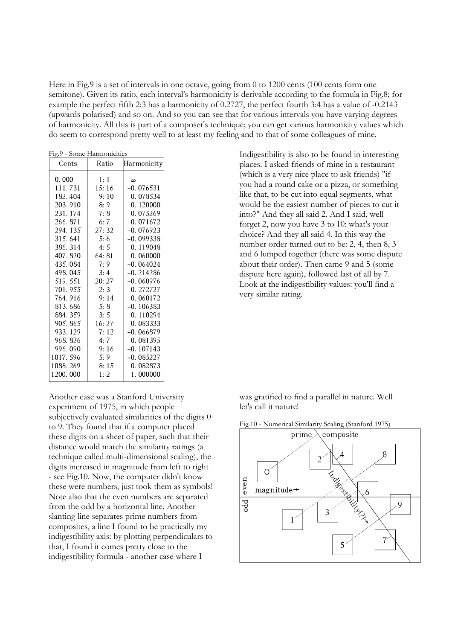Here in Fig.9 is a set of intervals in one octave, going from 0 to 1200 cents (100 cents form one semitone). Given its ratio, each interval's harmonicity is derivable according to the formula in Fig.8; for example the perfect fifth 2:3 has a harmonicity of 0.2727, the perfect fourth 3:4 has a value of -0.2143 (upwards polarised) and so on. And so you can see that for various intervals you have varying degrees of harmonicity. All this is part of a composer's technique; you can get various harmonicity values which do seem to correspond pretty well to at least my feeling and to that of some colleagues of mine.

| гдз. - зоше паппонісшея |        |             |  |  |  |  |  |  |  |  |
|-------------------------|--------|-------------|--|--|--|--|--|--|--|--|
| Cents                   | Ratio  | Harmonicity |  |  |  |  |  |  |  |  |
| 0.000                   | 1:1    | $\infty$    |  |  |  |  |  |  |  |  |
| 111.731                 | 15:16  | -0.076531   |  |  |  |  |  |  |  |  |
| 182.404                 | 9:10   | 0.078534    |  |  |  |  |  |  |  |  |
| 203.910                 | 8:9    | 0.120000    |  |  |  |  |  |  |  |  |
| 231.174                 | 7:8    | $-0.075269$ |  |  |  |  |  |  |  |  |
| 266, 871                | 6:7    | 0.071672    |  |  |  |  |  |  |  |  |
| 294.135                 | 27:32  | $-0.076923$ |  |  |  |  |  |  |  |  |
| 315.641                 | 5:6    | $-0.099338$ |  |  |  |  |  |  |  |  |
| 386.314                 | 4:5    | 0.119048    |  |  |  |  |  |  |  |  |
| 407.820                 | 64: 81 | 0.060000    |  |  |  |  |  |  |  |  |
| 435.084                 | 7:9    | $-0.064024$ |  |  |  |  |  |  |  |  |
| 498.045                 | 3:4    | $-0.214286$ |  |  |  |  |  |  |  |  |
| 519.551                 | 20:27  | $-0.060976$ |  |  |  |  |  |  |  |  |
| 701.955                 | 2:3    | 0.272727    |  |  |  |  |  |  |  |  |
| 764.916                 | 9:14   | 0.060172    |  |  |  |  |  |  |  |  |
| 813.686                 | 5:8    | -0. 106383  |  |  |  |  |  |  |  |  |
| 884.359                 | 3:5    | 0. 110294   |  |  |  |  |  |  |  |  |
| 905.865                 | 16: 27 | 0.083333    |  |  |  |  |  |  |  |  |
| 933.129                 | 7:12   | $-0.066879$ |  |  |  |  |  |  |  |  |
| 968.826                 | 4:7    | 0.081395    |  |  |  |  |  |  |  |  |
| 996.090                 | 9:16   | $-0.107143$ |  |  |  |  |  |  |  |  |
| 1017.596                | 5:9    | $-0.085227$ |  |  |  |  |  |  |  |  |
| 1088.269                | 8:15   | 0.082873    |  |  |  |  |  |  |  |  |
| 1200.000                | 1:2    | 1.000000    |  |  |  |  |  |  |  |  |

Another case was a Stanford University experiment of 1975, in which people subjectively evaluated similarities of the digits 0 to 9. They found that if a computer placed these digits on a sheet of paper, such that their distance would match the similarity ratings (a technique called multi-dimensional scaling), the digits increased in magnitude from left to right - see Fig.10. Now, the computer didn't know these were numbers, just took them as symbols! Note also that the even numbers are separated from the odd by a horizontal line. Another slanting line separates prime numbers from composites, a line I found to be practically my indigestibility axis: by plotting perpendiculars to that, I found it comes pretty close to the indigestibility formula - another case where I

Fig.9 - Some Harmonicities Indigestibility is also to be found in interesting places. I asked friends of mine in a restaurant (which is a very nice place to ask friends) "if you had a round cake or a pizza, or something like that, to be cut into equal segments, what would be the easiest number of pieces to cut it into?" And they all said 2. And I said, well forget 2, now you have 3 to 10: what's your choice? And they all said 4. In this way the number order turned out to be: 2, 4, then 8, 3 and 6 lumped together (there was some dispute about their order). Then came 9 and 5 (some dispute here again), followed last of all by 7. Look at the indigestibility values: you'll find a very similar rating.

> was gratified to find a parallel in nature. Well let's call it nature!



Fig.10 - Numerical Similarity Scaling (Stanford 1975)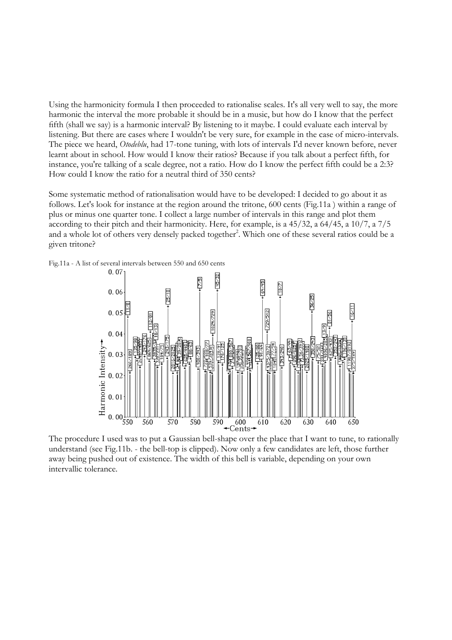Using the harmonicity formula I then proceeded to rationalise scales. It's all very well to say, the more harmonic the interval the more probable it should be in a music, but how do I know that the perfect fifth (shall we say) is a harmonic interval? By listening to it maybe. I could evaluate each interval by listening. But there are cases where I wouldn't be very sure, for example in the case of micro-intervals. The piece we heard, *Otodeblu*, had 17-tone tuning, with lots of intervals I'd never known before, never learnt about in school. How would I know their ratios? Because if you talk about a perfect fifth, for instance, you're talking of a scale degree, not a ratio. How do I know the perfect fifth could be a 2:3? How could I know the ratio for a neutral third of 350 cents?

Some systematic method of rationalisation would have to be developed: I decided to go about it as follows. Let's look for instance at the region around the tritone, 600 cents (Fig.11a ) within a range of plus or minus one quarter tone. I collect a large number of intervals in this range and plot them according to their pitch and their harmonicity. Here, for example, is a 45/32, a 64/45, a 10/7, a 7/5 and a whole lot of others very densely packed together<sup>2</sup>. Which one of these several ratios could be a given tritone?





The procedure I used was to put a Gaussian bell-shape over the place that I want to tune, to rationally understand (see Fig.11b. - the bell-top is clipped). Now only a few candidates are left, those further away being pushed out of existence. The width of this bell is variable, depending on your own intervallic tolerance.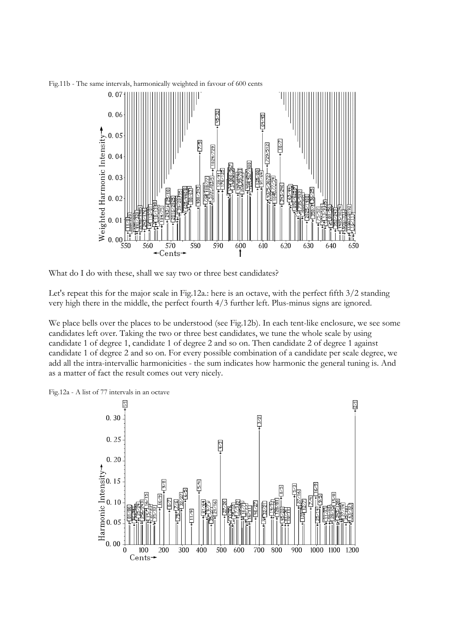Fig.11b - The same intervals, harmonically weighted in favour of 600 cents



What do I do with these, shall we say two or three best candidates?

Let's repeat this for the major scale in Fig.12a.: here is an octave, with the perfect fifth 3/2 standing very high there in the middle, the perfect fourth 4/3 further left. Plus-minus signs are ignored.

We place bells over the places to be understood (see Fig.12b). In each tent-like enclosure, we see some candidates left over. Taking the two or three best candidates, we tune the whole scale by using candidate 1 of degree 1, candidate 1 of degree 2 and so on. Then candidate 2 of degree 1 against candidate 1 of degree 2 and so on. For every possible combination of a candidate per scale degree, we add all the intra-intervallic harmonicities - the sum indicates how harmonic the general tuning is. And as a matter of fact the result comes out very nicely.



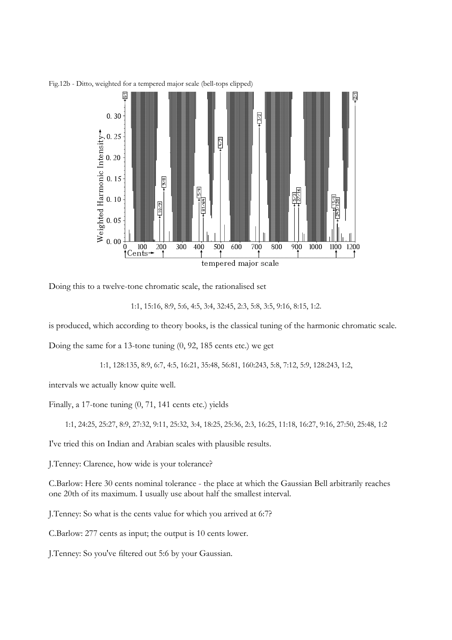

Fig.12b - Ditto, weighted for a tempered major scale (bell-tops clipped)

Doing this to a twelve-tone chromatic scale, the rationalised set

```
1:1, 15:16, 8:9, 5:6, 4:5, 3:4, 32:45, 2:3, 5:8, 3:5, 9:16, 8:15, 1:2.
```
is produced, which according to theory books, is the classical tuning of the harmonic chromatic scale.

Doing the same for a 13-tone tuning (0, 92, 185 cents etc.) we get

1:1, 128:135, 8:9, 6:7, 4:5, 16:21, 35:48, 56:81, 160:243, 5:8, 7:12, 5:9, 128:243, 1:2,

intervals we actually know quite well.

Finally, a 17-tone tuning (0, 71, 141 cents etc.) yields

1:1, 24:25, 25:27, 8:9, 27:32, 9:11, 25:32, 3:4, 18:25, 25:36, 2:3, 16:25, 11:18, 16:27, 9:16, 27:50, 25:48, 1:2

I've tried this on Indian and Arabian scales with plausible results.

J.Tenney: Clarence, how wide is your tolerance?

C.Barlow: Here 30 cents nominal tolerance - the place at which the Gaussian Bell arbitrarily reaches one 20th of its maximum. I usually use about half the smallest interval.

J.Tenney: So what is the cents value for which you arrived at 6:7?

C.Barlow: 277 cents as input; the output is 10 cents lower.

J.Tenney: So you've filtered out 5:6 by your Gaussian.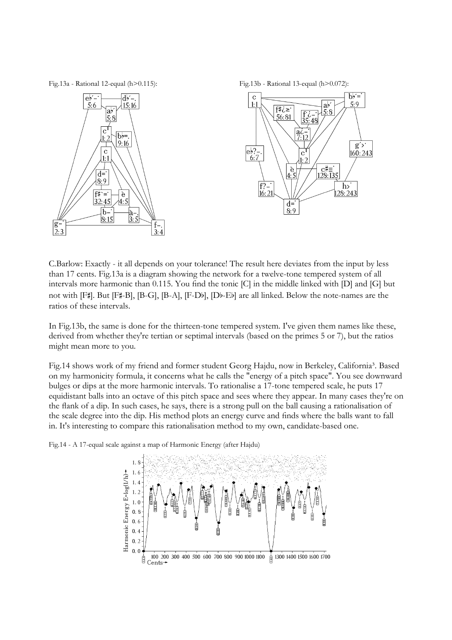Fig.13a - Rational 12-equal (h>0.115): Fig.13b - Rational 13-equal (h>0.072):





C.Barlow: Exactly - it all depends on your tolerance! The result here deviates from the input by less than 17 cents. Fig.13a is a diagram showing the network for a twelve-tone tempered system of all intervals more harmonic than 0.115. You find the tonic [C] in the middle linked with [D] and [G] but not with [F#]. But [F#-B], [B-G], [B-A], [F-Db], [Db-Eb] are all linked. Below the note-names are the ratios of these intervals.

In Fig.13b, the same is done for the thirteen-tone tempered system. I've given them names like these, derived from whether they're tertian or septimal intervals (based on the primes 5 or 7), but the ratios might mean more to you.

Fig.14 shows work of my friend and former student Georg Hajdu, now in Berkeley, California<sup>3</sup>. Based on my harmonicity formula, it concerns what he calls the "energy of a pitch space". You see downward bulges or dips at the more harmonic intervals. To rationalise a 17-tone tempered scale, he puts 17 equidistant balls into an octave of this pitch space and sees where they appear. In many cases they're on the flank of a dip. In such cases, he says, there is a strong pull on the ball causing a rationalisation of the scale degree into the dip. His method plots an energy curve and finds where the balls want to fall in. It's interesting to compare this rationalisation method to my own, candidate-based one.

Fig.14 - A 17-equal scale against a map of Harmonic Energy (after Hajdu)

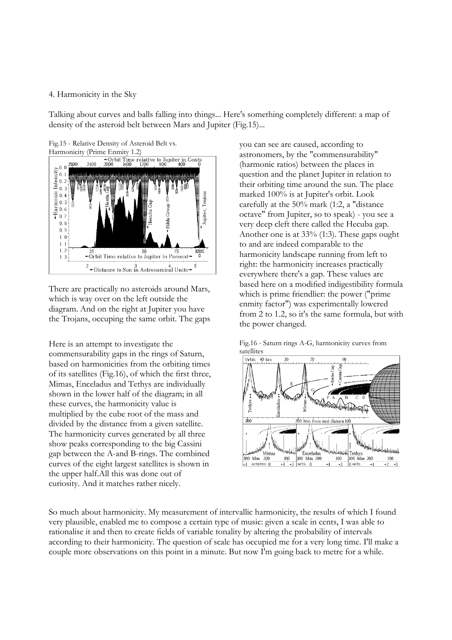### 4. Harmonicity in the Sky

Talking about curves and balls falling into things... Here's something completely different: a map of density of the asteroid belt between Mars and Jupiter (Fig.15)...



There are practically no asteroids around Mars, which is way over on the left outside the diagram. And on the right at Jupiter you have the Trojans, occuping the same orbit. The gaps

Here is an attempt to investigate the commensurability gaps in the rings of Saturn, based on harmonicities from the orbiting times of its satellites (Fig.16), of which the first three, Mimas, Enceladus and Tethys are individually shown in the lower half of the diagram; in all these curves, the harmonicity value is multiplied by the cube root of the mass and divided by the distance from a given satellite. The harmonicity curves generated by all three show peaks corresponding to the big Cassini gap between the A-and B-rings. The combined curves of the eight largest satellites is shown in the upper half.All this was done out of curiosity. And it matches rather nicely.

you can see are caused, according to astronomers, by the "commensurability" (harmonic ratios) between the places in question and the planet Jupiter in relation to their orbiting time around the sun. The place marked 100% is at Jupiter's orbit. Look carefully at the 50% mark (1:2, a "distance octave" from Jupiter, so to speak) - you see a very deep cleft there called the Hecuba gap. Another one is at 33% (1:3). These gaps ought to and are indeed comparable to the harmonicity landscape running from left to right: the harmonicity increases practically everywhere there's a gap. These values are based here on a modified indigestibility formula which is prime friendlier: the power ("prime enmity factor") was experimentally lowered from 2 to 1.2, so it's the same formula, but with the power changed.





So much about harmonicity. My measurement of intervallic harmonicity, the results of which I found very plausible, enabled me to compose a certain type of music: given a scale in cents, I was able to rationalise it and then to create fields of variable tonality by altering the probability of intervals according to their harmonicity. The question of scale has occupied me for a very long time. I'll make a couple more observations on this point in a minute. But now I'm going back to metre for a while.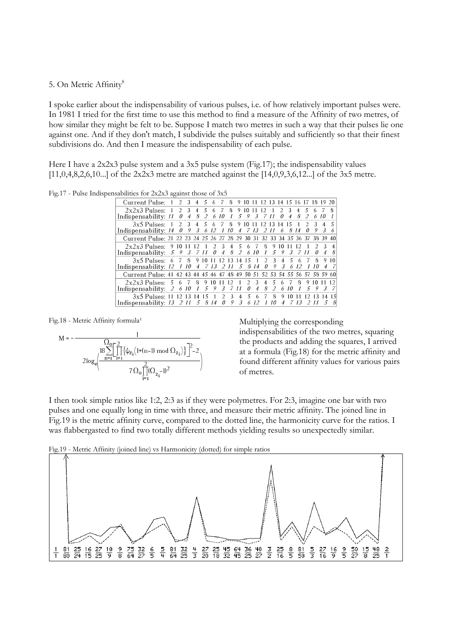#### 5. On Metric Affinity<sup>8</sup>

I spoke earlier about the indispensability of various pulses, i.e. of how relatively important pulses were. In 1981 I tried for the first time to use this method to find a measure of the Affinity of two metres, of how similar they might be felt to be. Suppose I match two metres in such a way that their pulses lie one against one. And if they don't match, I subdivide the pulses suitably and sufficiently so that their finest subdivisions do. And then I measure the indispensability of each pulse.

Here I have a 2x2x3 pulse system and a 3x5 pulse system (Fig.17); the indispensability values [11,0,4,8,2,6,10...] of the 2x2x3 metre are matched against the [14,0,9,3,6,12...] of the 3x5 metre.

Fig.17 - Pulse Indispensabilities for 2x2x3 against those of 3x5

| Current Pulse: 1 2 3 4 5 6 7 8 9 10 11 12 13 14 15 16 17 18 19 20          |   |                |  |          |                  |  |                                        |    |    |                   |          |               |                |                |               |
|----------------------------------------------------------------------------|---|----------------|--|----------|------------------|--|----------------------------------------|----|----|-------------------|----------|---------------|----------------|----------------|---------------|
| $2x2x3$ Pulses: 1 2 3 4 5 6 7                                              |   |                |  |          |                  |  | 8 9 10 11 12 1                         |    |    |                   | 2 3 4 5  |               |                |                | $\mathcal{R}$ |
| Indispensability: 11                                                       | 0 | $\overline{4}$ |  | 8 2 6 10 | $\boldsymbol{I}$ |  | 5 9 3 7 11                             |    |    | $0\quad 4\quad 8$ |          | 2             |                | 610            |               |
| 3x5 Pulses: 1 2 3 4 5 6 7 8 9 10 11 12 13 14 15 1                          |   |                |  |          |                  |  |                                        |    |    |                   |          | $\mathcal{D}$ | $\overline{3}$ |                | 5             |
| Indispensability: $14 \quad 0$                                             |   |                |  |          |                  |  | 9 3 6 12 1 10 4 7 13 2 11 6 8 14 0 9 3 |    |    |                   |          |               |                |                | 6             |
| Current Pulse: 21 22 23 24 25 26 27 28 29 30 31 32 33 34 35 36 37 38 39 40 |   |                |  |          |                  |  |                                        |    |    |                   |          |               |                |                |               |
| $2x2x3$ Pulses: 9 10 11 12 1 2 3 4 5 6 7 8 9                               |   |                |  |          |                  |  |                                        |    | 10 |                   | 12       |               | $\mathcal{L}$  | $\mathcal{L}$  |               |
| Indispensability: 5 9 3 7 11 0 4 8 2 6 10 1 5 9 3 7 11                     |   |                |  |          |                  |  |                                        |    |    |                   |          |               | $\theta$       | $\overline{4}$ | 8             |
| $3x5$ Pulses: 6 7 8 9 10 11 12 13 14 15 1 2 3                              |   |                |  |          |                  |  |                                        |    |    | $4\overline{5}$   | $\kappa$ | - 7           | $\mathsf{R}$   | 9              | 10            |
| Indispensability: 12 1 10 4 7 13 2 11 5 8 14 0 9 3 6 12                    |   |                |  |          |                  |  |                                        |    |    |                   |          |               | 10             |                |               |
| Current Pulse: 41 42 43 44 45 46 47 48 49 50 51 52 53 54 55 56 57 58 59 60 |   |                |  |          |                  |  |                                        |    |    |                   |          |               |                |                |               |
| $2x2x3$ Pulses: 5 6 7 8 9 10 11 12 1 2 3 4 5                               |   |                |  |          |                  |  |                                        |    | 6. |                   |          |               | 7 8 9 10       |                |               |
| Indispensability: $2 \t6 \t10$                                             |   |                |  |          |                  |  | 1 5 9 3 7 11 0 4 8 2                   |    |    |                   | 6 10 1   |               |                |                | 5 9 3 7       |
| $3x5$ Pulses: 11 12 13 14 15 1 2 3 4 5 6 7                                 |   |                |  |          |                  |  |                                        | 8. | 9  | 10                |          | $12^{\circ}$  | 13             |                |               |
| Indispensability: $13 \t2 \t11 \t5 \t8 \t14 \t0 \t9 \t3$                   |   |                |  |          |                  |  | 6 12 1                                 | 10 | 4  |                   | - 713    |               | 2 11           |                |               |



Fig.18 - Metric Affinity formula<sup>1</sup> Multiplying the corresponding

indispensabilities of the two metres, squaring the products and adding the squares, I arrived at a formula (Fig.18) for the metric affinity and found different affinity values for various pairs of metres.

I then took simple ratios like 1:2, 2:3 as if they were polymetres. For 2:3, imagine one bar with two pulses and one equally long in time with three, and measure their metric affinity. The joined line in Fig.19 is the metric affinity curve, compared to the dotted line, the harmonicity curve for the ratios. I was flabbergasted to find two totally different methods yielding results so unexpectedly similar.



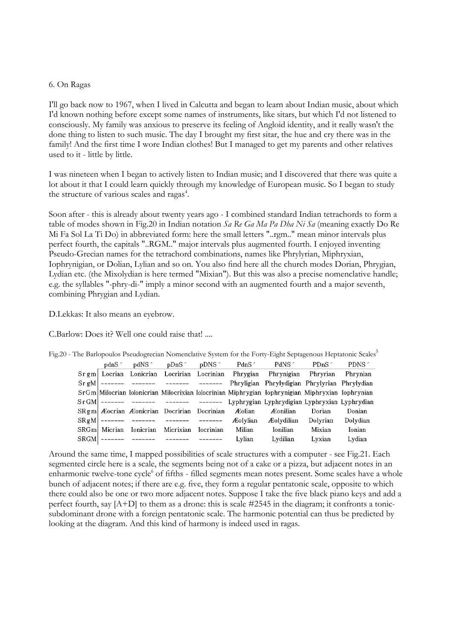#### 6. On Ragas

I'll go back now to 1967, when I lived in Calcutta and began to learn about Indian music, about which I'd known nothing before except some names of instruments, like sitars, but which I'd not listened to consciously. My family was anxious to preserve its feeling of Angloid identity, and it really wasn't the done thing to listen to such music. The day I brought my first sitar, the hue and cry there was in the family! And the first time I wore Indian clothes! But I managed to get my parents and other relatives used to it - little by little.

I was nineteen when I began to actively listen to Indian music; and I discovered that there was quite a lot about it that I could learn quickly through my knowledge of European music. So I began to study the structure of various scales and ragas<sup>4</sup>.

Soon after - this is already about twenty years ago - I combined standard Indian tetrachords to form a table of modes shown in Fig.20 in Indian notation *Sa Re Ga Ma Pa Dha Ni Sa* (meaning exactly Do Re Mi Fa Sol La Ti Do) in abbreviated form: here the small letters "..rgm.." mean minor intervals plus perfect fourth, the capitals "..RGM.." major intervals plus augmented fourth. I enjoyed inventing Pseudo-Grecian names for the tetrachord combinations, names like Phrylyrian, Miphryxian, Iophrynigian, or Dolian, Lylian and so on. You also find here all the church modes Dorian, Phrygian, Lydian etc. (the Mixolydian is here termed "Mixian"). But this was also a precise nomenclative handle; e.g. the syllables "-phry-di-" imply a minor second with an augmented fourth and a major seventh, combining Phrygian and Lydian.

D.Lekkas: It also means an eyebrow.

C.Barlow: Does it? Well one could raise that! ....

|  |               |                                                                                  |        | pdnS    pdNS    pDnS    pDNS    PdnS    PdNS    PDnS    PDnS    PDnS    P                        |          | PDNS 1   |
|--|---------------|----------------------------------------------------------------------------------|--------|--------------------------------------------------------------------------------------------------|----------|----------|
|  |               |                                                                                  |        | Srgm Locrian Lonicrian Locrinian Locrinian Phrygian Phrynigian Phryrian Phrynian                 |          |          |
|  |               |                                                                                  |        | $S_{\rm r}$ gM   ------- ------- ------ ------ Phryligian Phrylydigian Phrylyrian Phrylydian     |          |          |
|  |               |                                                                                  |        | SrGm Milocrian Iolonicrian Milocrixian Iolocrinian Miphrygian Iophrynigian Miphryxian Iophrynian |          |          |
|  |               |                                                                                  |        | SrGM ------- ------- ------- ------- Lyphrygian Lyphrydigian Lyphryxian Lyphrydian               |          |          |
|  |               | SRgm   Æocrian Æonicrian Docririan Docrinian Æolian                              |        | <i>A</i> conilian                                                                                | Dorian   | Donian   |
|  |               | $S\mathbb{R} \mathfrak{g} M$ ------- ------ ------- ------ $\mathcal{A}$ olvlian |        | <b>Æolvdilian</b>                                                                                | Dolyrian | Dolydian |
|  | SRGm  Micrian | Ionicrian Micrixian Iocrinian                                                    | Milian | Ionilian                                                                                         | Mixian   | Ionian   |
|  |               | SRGM ------- ------- ------- -------                                             | Lylian | Lydilian                                                                                         | Lyxian   | Lydian   |
|  |               |                                                                                  |        |                                                                                                  |          |          |

Fig.20 - The Barlopoulos Pseudogrecian Nomenclative System for the Forty-Eight Septagenous Heptatonic Scales<sup>5</sup>

Around the same time, I mapped possibilities of scale structures with a computer - see Fig.21. Each segmented circle here is a scale, the segments being not of a cake or a pizza, but adjacent notes in an enharmonic twelve-tone cycle<sup>6</sup> of fifths - filled segments mean notes present. Some scales have a whole bunch of adjacent notes; if there are e.g. five, they form a regular pentatonic scale, opposite to which there could also be one or two more adjacent notes. Suppose I take the five black piano keys and add a perfect fourth, say [A+D] to them as a drone: this is scale #2545 in the diagram; it confronts a tonicsubdominant drone with a foreign pentatonic scale. The harmonic potential can thus be predicted by looking at the diagram. And this kind of harmony is indeed used in ragas.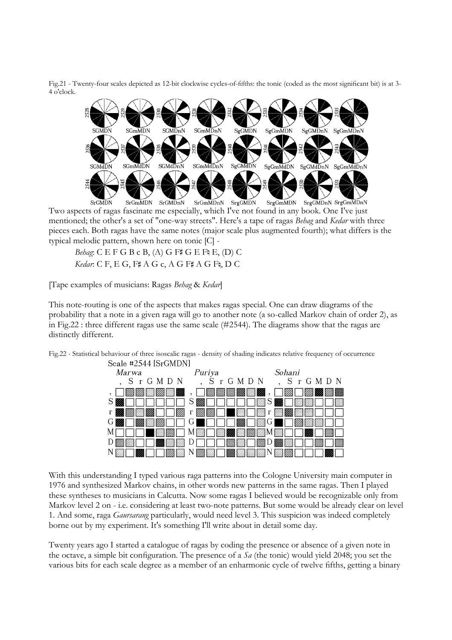Fig.21 - Twenty-four scales depicted as 12-bit clockwise cycles-of-fifths: the tonic (coded as the most significant bit) is at 3- 4 o'clock.



SrgGMDnN SrgGmMDnN **SrGMDN** SrGmMDN SrGMDnN SrGmMDnN SrgGMDN SrgGmMDN Two aspects of ragas fascinate me especially, which I've not found in any book. One I've just mentioned; the other's a set of "one-way streets". Here's a tape of ragas *Behag* and *Kedar* with three pieces each. Both ragas have the same notes (major scale plus augmented fourth); what differs is the typical melodic pattern, shown here on tonic [C] -

*Behag*: C E F G B c B, (A) G F# G E F§ E, (D) C *Kedar*: C F, E G, F# A G c, A G F# A G F§, D C

[Tape examples of musicians: Ragas *Behag* & *Kedar*]

This note-routing is one of the aspects that makes ragas special. One can draw diagrams of the probability that a note in a given raga will go to another note (a so-called Markov chain of order 2), as in Fig.22 : three different ragas use the same scale (#2544). The diagrams show that the ragas are distinctly different.

> Scale #2544 [SrGMDN] *Marwa* Puriva Sohani S r G M D N S r G M D N S r G M D N 网网网 m 圝  $S \boxtimes$ S S.  $r<sub>l</sub>$  $\mathbf{r}$ ▩ 183 r B G G G  $M<sub>l</sub>$ M JM J K. D | | || D D  $N \Box$ N ΝI

Fig.22 - Statistical behaviour of three isoscalic ragas - density of shading indicates relative frequency of occurrence

With this understanding I typed various raga patterns into the Cologne University main computer in 1976 and synthesized Markov chains, in other words new patterns in the same ragas. Then I played these syntheses to musicians in Calcutta. Now some ragas I believed would be recognizable only from Markov level 2 on - i.e. considering at least two-note patterns. But some would be already clear on level 1. And some, raga *Gaursarang* particularly, would need level 3. This suspicion was indeed completely borne out by my experiment. It's something I'll write about in detail some day.

Twenty years ago I started a catalogue of ragas by coding the presence or absence of a given note in the octave, a simple bit configuration. The presence of a *Sa* (the tonic) would yield 2048; you set the various bits for each scale degree as a member of an enharmonic cycle of twelve fifths, getting a binary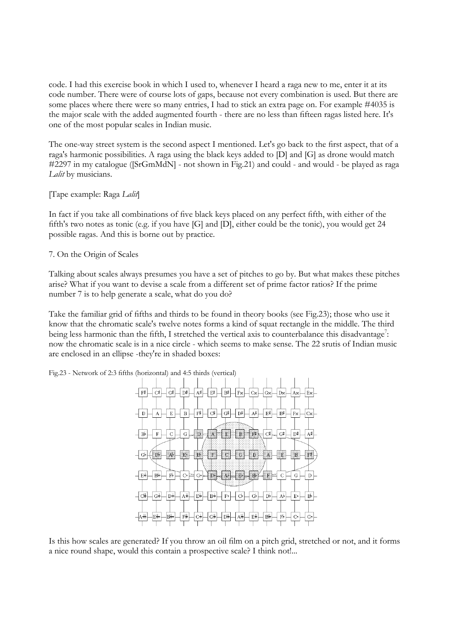code. I had this exercise book in which I used to, whenever I heard a raga new to me, enter it at its code number. There were of course lots of gaps, because not every combination is used. But there are some places where there were so many entries, I had to stick an extra page on. For example #4035 is the major scale with the added augmented fourth - there are no less than fifteen ragas listed here. It's one of the most popular scales in Indian music.

The one-way street system is the second aspect I mentioned. Let's go back to the first aspect, that of a raga's harmonic possibilities. A raga using the black keys added to [D] and [G] as drone would match #2297 in my catalogue ([SrGmMdN] - not shown in Fig.21) and could - and would - be played as raga *Lalit* by musicians.

[Tape example: Raga *Lalit*]

In fact if you take all combinations of five black keys placed on any perfect fifth, with either of the fifth's two notes as tonic (e.g. if you have [G] and [D], either could be the tonic), you would get 24 possible ragas. And this is borne out by practice.

7. On the Origin of Scales

Talking about scales always presumes you have a set of pitches to go by. But what makes these pitches arise? What if you want to devise a scale from a different set of prime factor ratios? If the prime number 7 is to help generate a scale, what do you do?

Take the familiar grid of fifths and thirds to be found in theory books (see Fig.23); those who use it know that the chromatic scale's twelve notes forms a kind of squat rectangle in the middle. The third being less harmonic than the fifth, I stretched the vertical axis to counterbalance this disadvantage<sup>7</sup>: now the chromatic scale is in a nice circle - which seems to make sense. The 22 srutis of Indian music are enclosed in an ellipse -they're in shaded boxes:

Fig.23 - Network of 2:3 fifths (horizontal) and 4:5 thirds (vertical)



Is this how scales are generated? If you throw an oil film on a pitch grid, stretched or not, and it forms a nice round shape, would this contain a prospective scale? I think not!...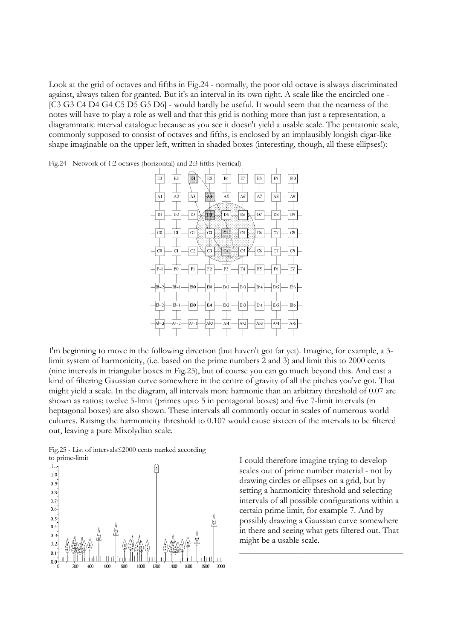Look at the grid of octaves and fifths in Fig.24 - normally, the poor old octave is always discriminated against, always taken for granted. But it's an interval in its own right. A scale like the encircled one - [C3 G3 C4 D4 G4 C5 D5 G5 D6] - would hardly be useful. It would seem that the nearness of the notes will have to play a role as well and that this grid is nothing more than just a representation, a diagrammatic interval catalogue because as you see it doesn't yield a usable scale. The pentatonic scale, commonly supposed to consist of octaves and fifths, is enclosed by an implausibly longish cigar-like shape imaginable on the upper left, written in shaded boxes (interesting, though, all these ellipses!):



Fig.24 - Network of 1:2 octaves (horizontal) and 2:3 fifths (vertical)

I'm beginning to move in the following direction (but haven't got far yet). Imagine, for example, a 3 limit system of harmonicity, (i.e. based on the prime numbers 2 and 3) and limit this to 2000 cents (nine intervals in triangular boxes in Fig.25), but of course you can go much beyond this. And cast a kind of filtering Gaussian curve somewhere in the centre of gravity of all the pitches you've got. That might yield a scale. In the diagram, all intervals more harmonic than an arbitrary threshold of 0.07 are shown as ratios; twelve 5-limit (primes upto 5 in pentagonal boxes) and five 7-limit intervals (in heptagonal boxes) are also shown. These intervals all commonly occur in scales of numerous world cultures. Raising the harmonicity threshold to 0.107 would cause sixteen of the intervals to be filtered out, leaving a pure Mixolydian scale.

Fig.25 - List of intervals≤2000 cents marked according



to prime-limit<br>  $I$  could therefore imagine trying to develop<br>
scales out of prime number material - not b scales out of prime number material - not by drawing circles or ellipses on a grid, but by setting a harmonicity threshold and selecting intervals of all possible configurations within a certain prime limit, for example 7. And by possibly drawing a Gaussian curve somewhere in there and seeing what gets filtered out. That might be a usable scale.

\_\_\_\_\_\_\_\_\_\_\_\_\_\_\_\_\_\_\_\_\_\_\_\_\_\_\_\_\_\_\_\_\_\_\_\_\_